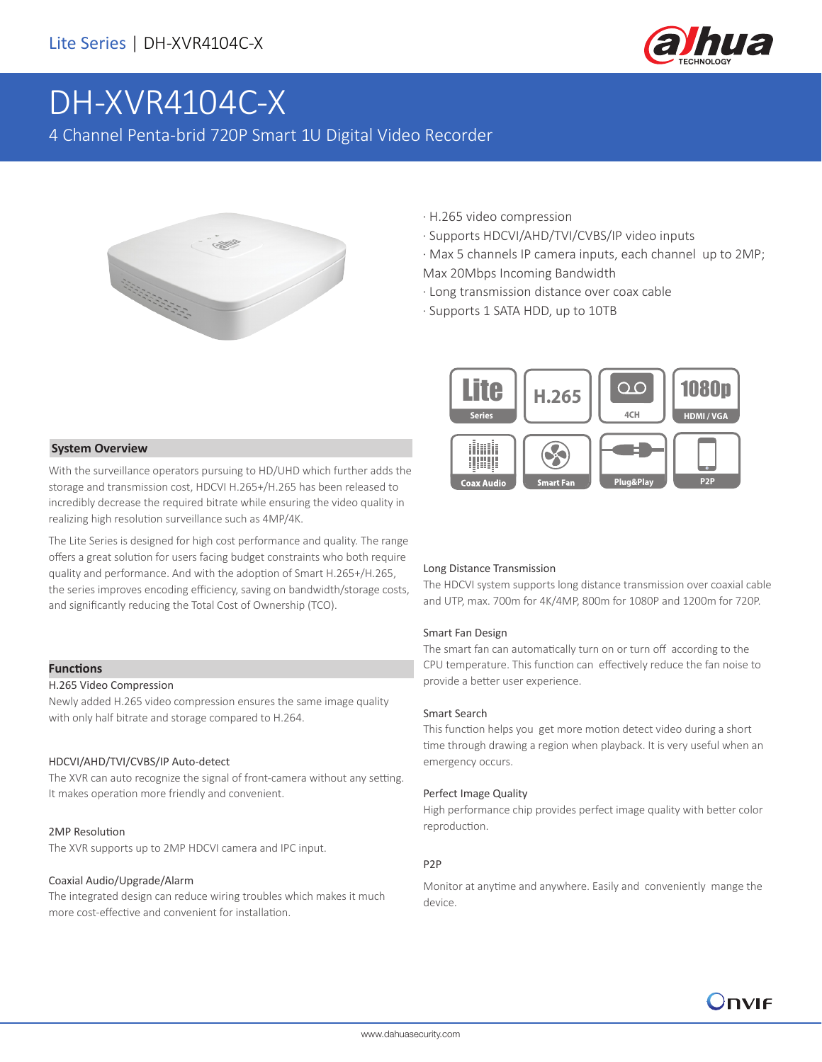

# DH-XVR4104C-X

4 Channel Penta-brid 720P Smart 1U Digital Video Recorder



- · H.265 video compression
- · Supports HDCVI/AHD/TVI/CVBS/IP video inputs
- · Max 5 channels IP camera inputs, each channel up to 2MP; Max 20Mbps Incoming Bandwidth
- · Long transmission distance over coax cable
- · Supports 1 SATA HDD, up to 10TB



#### **System Overview**

With the surveillance operators pursuing to HD/UHD which further adds the storage and transmission cost, HDCVI H.265+/H.265 has been released to incredibly decrease the required bitrate while ensuring the video quality in realizing high resolution surveillance such as 4MP/4K.

The Lite Series is designed for high cost performance and quality. The range offers a great solution for users facing budget constraints who both require quality and performance. And with the adoption of Smart H.265+/H.265, the series improves encoding efficiency, saving on bandwidth/storage costs, and significantly reducing the Total Cost of Ownership (TCO).

#### **Functions**

### H.265 Video Compression

Newly added H.265 video compression ensures the same image quality with only half bitrate and storage compared to H.264.

#### HDCVI/AHD/TVI/CVBS/IP Auto-detect

The XVR can auto recognize the signal of front-camera without any setting. It makes operation more friendly and convenient.

#### 2MP Resolution

The XVR supports up to 2MP HDCVI camera and IPC input.

#### Coaxial Audio/Upgrade/Alarm

The integrated design can reduce wiring troubles which makes it much more cost-effective and convenient for installation.

#### Long Distance Transmission

The HDCVI system supports long distance transmission over coaxial cable and UTP, max. 700m for 4K/4MP, 800m for 1080P and 1200m for 720P.

#### Smart Fan Design

The smart fan can automatically turn on or turn off according to the CPU temperature. This function can effectively reduce the fan noise to provide a better user experience.

#### Smart Search

This function helps you get more motion detect video during a short time through drawing a region when playback. It is very useful when an emergency occurs.

#### Perfect Image Quality

High performance chip provides perfect image quality with better color reproduction.

#### P2P

Monitor at anytime and anywhere. Easily and conveniently mange the device.

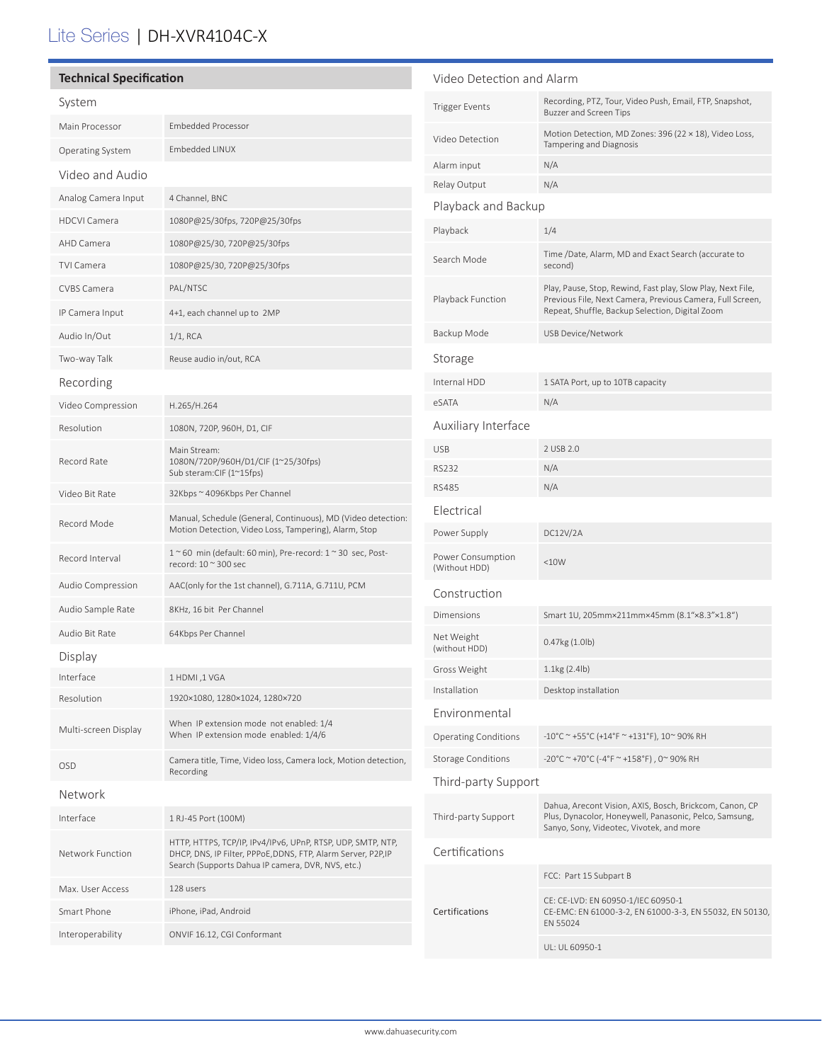# Lite Series | DH-XVR4104C-X

| <b>Technical Specification</b> |                                                                                                                                                                                   | Video Detection and Alarm                                                                                                                     |                                                                                                                                                                             |
|--------------------------------|-----------------------------------------------------------------------------------------------------------------------------------------------------------------------------------|-----------------------------------------------------------------------------------------------------------------------------------------------|-----------------------------------------------------------------------------------------------------------------------------------------------------------------------------|
| System                         |                                                                                                                                                                                   | <b>Trigger Events</b>                                                                                                                         | Recording, PTZ, Tour, Video Push, Email, FTP, Snapshot,<br>Buzzer and Screen Tips                                                                                           |
| Main Processor                 | <b>Embedded Processor</b>                                                                                                                                                         | Video Detection                                                                                                                               | Motion Detection, MD Zones: 396 (22 × 18), Video Loss,                                                                                                                      |
| Operating System               | Embedded LINUX                                                                                                                                                                    |                                                                                                                                               | Tampering and Diagnosis                                                                                                                                                     |
| Video and Audio                |                                                                                                                                                                                   | Alarm input<br>Relay Output                                                                                                                   | N/A<br>N/A                                                                                                                                                                  |
| Analog Camera Input            | 4 Channel, BNC                                                                                                                                                                    | Playback and Backup                                                                                                                           |                                                                                                                                                                             |
| <b>HDCVI Camera</b>            | 1080P@25/30fps, 720P@25/30fps                                                                                                                                                     |                                                                                                                                               |                                                                                                                                                                             |
| AHD Camera                     | 1080P@25/30, 720P@25/30fps                                                                                                                                                        | Playback                                                                                                                                      | 1/4                                                                                                                                                                         |
| <b>TVI Camera</b>              | 1080P@25/30, 720P@25/30fps                                                                                                                                                        | Search Mode                                                                                                                                   | Time /Date, Alarm, MD and Exact Search (accurate to<br>second)                                                                                                              |
| CVBS Camera                    | PAL/NTSC                                                                                                                                                                          | Playback Function                                                                                                                             | Play, Pause, Stop, Rewind, Fast play, Slow Play, Next File,<br>Previous File, Next Camera, Previous Camera, Full Screen,<br>Repeat, Shuffle, Backup Selection, Digital Zoom |
| IP Camera Input                | 4+1, each channel up to 2MP                                                                                                                                                       |                                                                                                                                               |                                                                                                                                                                             |
| Audio In/Out                   | $1/1$ , RCA                                                                                                                                                                       | Backup Mode                                                                                                                                   | USB Device/Network                                                                                                                                                          |
| Two-way Talk                   | Reuse audio in/out, RCA                                                                                                                                                           | Storage                                                                                                                                       |                                                                                                                                                                             |
| Recording                      |                                                                                                                                                                                   | Internal HDD                                                                                                                                  | 1 SATA Port, up to 10TB capacity                                                                                                                                            |
| Video Compression              | H.265/H.264                                                                                                                                                                       | eSATA                                                                                                                                         | N/A                                                                                                                                                                         |
| Resolution                     | 1080N, 720P, 960H, D1, CIF                                                                                                                                                        | Auxiliary Interface                                                                                                                           |                                                                                                                                                                             |
| Record Rate                    | Main Stream:<br>1080N/720P/960H/D1/CIF (1~25/30fps)<br>Sub steram:CIF (1~15fps)                                                                                                   | <b>USB</b>                                                                                                                                    | 2 USB 2.0                                                                                                                                                                   |
|                                |                                                                                                                                                                                   | <b>RS232</b>                                                                                                                                  | N/A                                                                                                                                                                         |
| Video Bit Rate                 | 32Kbps ~ 4096Kbps Per Channel                                                                                                                                                     | <b>RS485</b>                                                                                                                                  | N/A                                                                                                                                                                         |
| Record Mode                    | Manual, Schedule (General, Continuous), MD (Video detection:<br>Motion Detection, Video Loss, Tampering), Alarm, Stop                                                             | Electrical                                                                                                                                    |                                                                                                                                                                             |
|                                |                                                                                                                                                                                   | Power Supply                                                                                                                                  | DC12V/2A                                                                                                                                                                    |
| Record Interval                | $1~$ ~60 min (default: 60 min), Pre-record: $1~$ ~30 sec, Post-<br>record: 10 ~ 300 sec                                                                                           | Power Consumption<br>(Without HDD)                                                                                                            | <10W                                                                                                                                                                        |
| Audio Compression              | AAC(only for the 1st channel), G.711A, G.711U, PCM                                                                                                                                | Construction                                                                                                                                  |                                                                                                                                                                             |
| Audio Sample Rate              | 8KHz, 16 bit Per Channel                                                                                                                                                          | Dimensions                                                                                                                                    | Smart 1U, 205mm×211mm×45mm (8.1"×8.3"×1.8")                                                                                                                                 |
| Audio Bit Rate                 | 64Kbps Per Channel                                                                                                                                                                | Net Weight<br>(without HDD)                                                                                                                   | 0.47kg (1.0lb)                                                                                                                                                              |
| Display                        |                                                                                                                                                                                   | Gross Weight                                                                                                                                  | 1.1kg (2.4lb)                                                                                                                                                               |
| Interface                      | 1 HDMI, 1 VGA                                                                                                                                                                     | Installation                                                                                                                                  | Desktop installation                                                                                                                                                        |
| Resolution                     | 1920×1080, 1280×1024, 1280×720                                                                                                                                                    | Environmental                                                                                                                                 |                                                                                                                                                                             |
| Multi-screen Display           | When IP extension mode not enabled: 1/4<br>When IP extension mode enabled: 1/4/6                                                                                                  | <b>Operating Conditions</b>                                                                                                                   | $-10^{\circ}$ C ~ +55°C (+14°F ~ +131°F), 10~ 90% RH                                                                                                                        |
| OSD                            | Camera title, Time, Video loss, Camera lock, Motion detection,                                                                                                                    | <b>Storage Conditions</b>                                                                                                                     | -20°C ~ +70°C (-4°F ~ +158°F), 0~90% RH                                                                                                                                     |
| Recording                      |                                                                                                                                                                                   | Third-party Support                                                                                                                           |                                                                                                                                                                             |
| Network<br>Interface           | 1 RJ-45 Port (100M)                                                                                                                                                               | Third-party Support                                                                                                                           | Dahua, Arecont Vision, AXIS, Bosch, Brickcom, Canon, CP<br>Plus, Dynacolor, Honeywell, Panasonic, Pelco, Samsung,                                                           |
| Network Function               | HTTP, HTTPS, TCP/IP, IPv4/IPv6, UPnP, RTSP, UDP, SMTP, NTP,<br>DHCP, DNS, IP Filter, PPPoE, DDNS, FTP, Alarm Server, P2P, IP<br>Search (Supports Dahua IP camera, DVR, NVS, etc.) | Certifications                                                                                                                                | Sanyo, Sony, Videotec, Vivotek, and more                                                                                                                                    |
|                                |                                                                                                                                                                                   | FCC: Part 15 Subpart B                                                                                                                        |                                                                                                                                                                             |
| Max. User Access               | 128 users                                                                                                                                                                         | CE: CE-LVD: EN 60950-1/IEC 60950-1<br>Certifications<br>CE-EMC: EN 61000-3-2, EN 61000-3-3, EN 55032, EN 50130,<br>EN 55024<br>UL: UL 60950-1 |                                                                                                                                                                             |
| Smart Phone                    | iPhone, iPad, Android                                                                                                                                                             |                                                                                                                                               |                                                                                                                                                                             |
| Interoperability               | ONVIF 16.12, CGI Conformant                                                                                                                                                       |                                                                                                                                               |                                                                                                                                                                             |